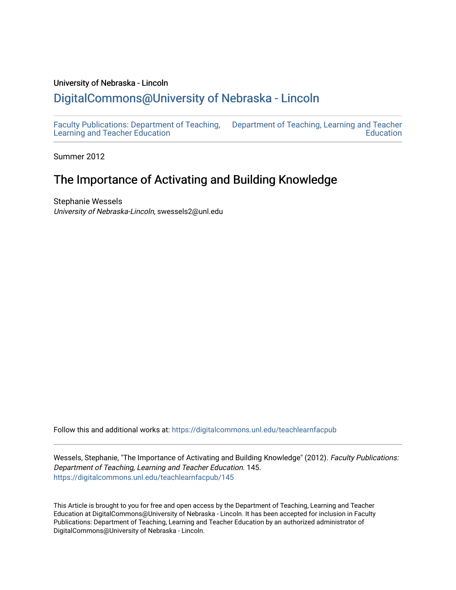#### University of Nebraska - Lincoln

# [DigitalCommons@University of Nebraska - Lincoln](https://digitalcommons.unl.edu/)

[Faculty Publications: Department of Teaching,](https://digitalcommons.unl.edu/teachlearnfacpub)  [Learning and Teacher Education](https://digitalcommons.unl.edu/teachlearnfacpub)  [Department of Teaching, Learning and Teacher](https://digitalcommons.unl.edu/teaching_learning)  **Education** 

Summer 2012

# The Importance of Activating and Building Knowledge

Stephanie Wessels University of Nebraska-Lincoln, swessels2@unl.edu

Follow this and additional works at: [https://digitalcommons.unl.edu/teachlearnfacpub](https://digitalcommons.unl.edu/teachlearnfacpub?utm_source=digitalcommons.unl.edu%2Fteachlearnfacpub%2F145&utm_medium=PDF&utm_campaign=PDFCoverPages)

Wessels, Stephanie, "The Importance of Activating and Building Knowledge" (2012). Faculty Publications: Department of Teaching, Learning and Teacher Education. 145. [https://digitalcommons.unl.edu/teachlearnfacpub/145](https://digitalcommons.unl.edu/teachlearnfacpub/145?utm_source=digitalcommons.unl.edu%2Fteachlearnfacpub%2F145&utm_medium=PDF&utm_campaign=PDFCoverPages)

This Article is brought to you for free and open access by the Department of Teaching, Learning and Teacher Education at DigitalCommons@University of Nebraska - Lincoln. It has been accepted for inclusion in Faculty Publications: Department of Teaching, Learning and Teacher Education by an authorized administrator of DigitalCommons@University of Nebraska - Lincoln.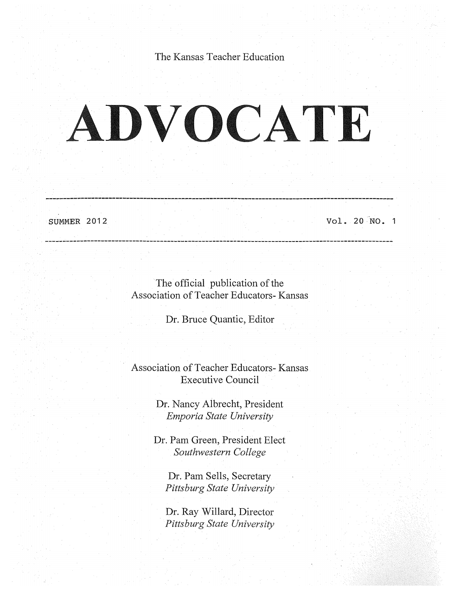The Kansas Teacher Education

# ADVOCATE

SUMMER 2012

Vol. 20 "NO. 1

The official publication of the Association of Teacher Educators- Kansas

Dr. Bruce Quantic, Editor

Association of Teacher Educators- Kansas Executive Council

> Dr. Nancy Albrecht, President *Emporia State University*

Dr. Pam Green, President Elect *Southwestern College* 

Dr. Pam Sells, Secretary *Pittsburg State University* 

Dr. Ray Willard, Director *Pittsburg State University*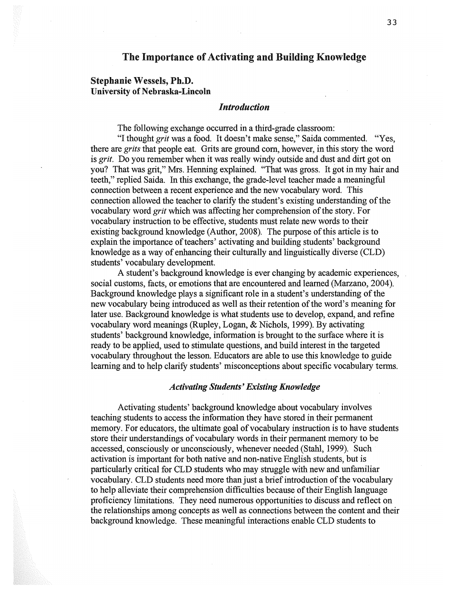## The Importance of Activating and Building Knowledge

## Stephanie Wessels, Ph.D. University of Nebraska-Lincoln

#### *Introduction*

The following exchange occurred in a third-grade classroom:

"I thought *grit* was a food. It doesn't make sense," Saida commented. "Yes, there are *grits* that people eat. Grits are ground corn, however, in this story the word is *grit.* Do you remember when it was really windy outside and dust and dirt got on you? That was grit," Mrs. Henning explained. "That was gross. It got in my hair and teeth," replied Saida. In this exchange, the grade-level teacher made a meaningful connection between a recent experience and the new vocabulary word. This connection allowed the teacher to clarify the student's existing understanding of the vocabulary word *grit* which was affecting her comprehension of the story. For vocabulary instruction to be effective, students must relate new words to their existing background knowledge (Author, 2008). The purpose of this article is to explain the importance of teachers' activating and building students' background knowledge as a way of enhancing their culturally and linguistically diverse (CLD) students' vocabulary development.

A student's background knowledge is ever changing by academic experiences, social customs, facts, or emotions that are encountered and learned (Marzano, 2004). Background knowledge plays a significant role in a student's understanding of the new vocabulary being introduced as well as their retention of the word's meaning for later use. Background knowledge is what students use to develop, expand, and refine vocabulary word meanings (Rupley, Logan, & Nichols, 1999). By activating students' background knowledge, information is brought to the surface where it is ready to be applied, used to stimulate questions, and build interest in the targeted vocabulary throughout the lesson. Educators are able to use this knowledge to guide learning and to help clarify students' misconceptions about specific vocabulary terms.

#### *Activating Students' Existing Knowledge*

Activating students' background knowledge about vocabulary involves teaching students to access the information they have stored in their permanent memory. For educators, the ultimate goal of vocabulary instruction is to have students store their understandings of vocabulary words in their permanent memory to be accessed, consciously or unconsciously, whenever needed (Stahl, 1999). Such activation is important for both native and non-native English students, but is particularly critical for CLD students who may struggle with new and unfamiliar vocabulary. CLD students need more than just a brief introduction of the vocabulary to help alleviate their comprehension difficulties because of their English language proficiency limitations. They need numerous opportunities to discuss and reflect on the relationships among concepts as well as connections between the content and their background knowledge. These meaningful interactions enable CLD students to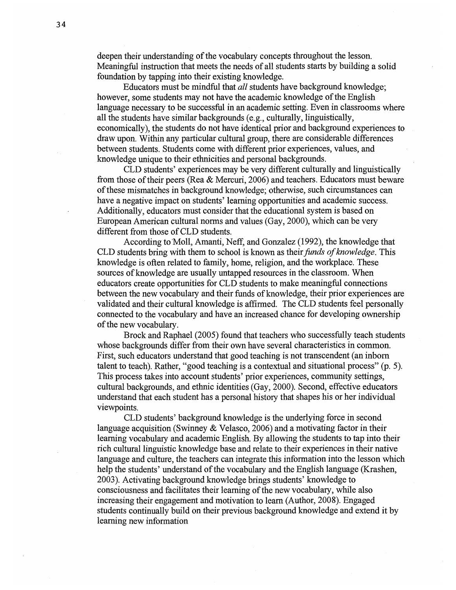deepen their understanding of the vocabulary concepts throughout the lesson. Meaningful instruction that meets the needs of all students starts by building a solid foundation by tapping into their existing knowledge.

Educators must be mindful that *all* students have background knowledge; however, some students may not have the academic knowledge of the English language necessary to be successful in an academic setting. Even in classrooms where all the students have similar backgrounds (e.g., culturally, linguistically, economically), the students do not have identical prior and background experiences to draw upon. Within any particular cultural group, there are considerable differences between students. Students come with different prior experiences, values, and knowledge unique to their ethnicities and personal backgrounds.

CLD students' experiences may be very different culturally and linguistically from those of their peers (Rea & Mercuri, 2006) and teachers. Educators must beware of these mismatches in background knowledge; otherwise, such circumstances can have a negative impact on students' learning opportunities and academic success. Additionally, educators must consider that the educational system is based on European American cultural norms and values (Gay, 2000), which can be very different from those of CLD students.

According to 'Moll, Amanti, Neff, and Gonzalez (1992), the knowledge that CLD students bring with them to school is known as their funds of knowledge. This knowledge is often related to family, home, religion, and the workplace. These sources of knowledge are usually untapped resources in the classroom. When educators create opportunities for CLD students to make meaningful connections between the new vocabulary and their funds of knowledge, their prior experiences are validated and their cultural knowledge is affirmed. The CLD students feel personally connected to the vocabulary and have an increased chance for developing ownership of the new vocabulary.

Brock and Raphael  $(2005)$  found that teachers who successfully teach students whose backgrounds differ from their own have several characteristics in common. First, such educators understand that good teaching is not transcendent (an inborn talent to teach). Rather, "good teaching is a contextual and situational process" (p. 5). This process takes into account students' prior experiences, community settings, cultural backgrounds, and ethnic identities (Gay, 2000). Second, effective educators understand that each student has a personal history that shapes his or her individual viewpoints.

CLD students' background knowledge is the underlying force in second language acquisition (Swinney & Velasco, 2006) and a motivating factor in their learning vocabulary and academic English. By allowing the students to tap into their rich cultural linguistic knowledge base and relate to their experiences in their native language and culture, the teachers can integrate this information into the lesson which help the students' understand of the vocabulary and the English language (Krashen, 2003). Activating background knowledge brings students' knowledge to consciousness and facilitates their learning of the new vocabulary, while also increasing their engagement and motivation to learn (Author, 2008). Engaged students continually build on their previous background knowledge and extend it by learning new information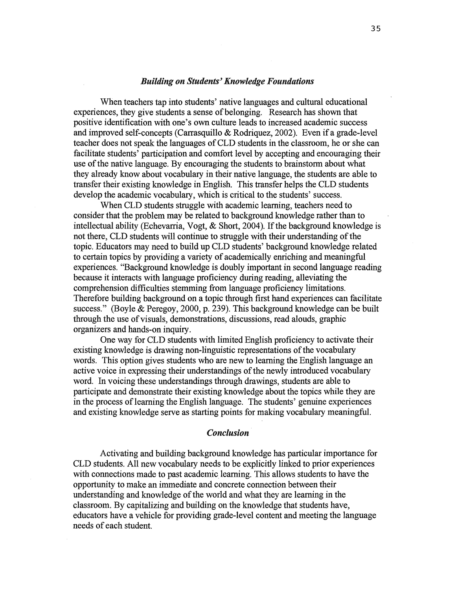#### *Building on Students' Knowledge Foundations*

When teachers tap into students' native languages and cultural educational experiences, they give students a sense of belonging. Research has shown that positive identification with one's own culture leads to increased academic success and improved self-concepts (Carrasquillo & Rodriquez, 2002). Even if a grade-level teacher does not speak the languages of CLD students in the classroom, he or she can facilitate students' participation and comfort level by accepting and encouraging their use of the native language. By encouraging the students to brainstorm about what they already know about vocabulary in their native language, the students are able to transfer their existing knowledge in English. This transfer helps the CLD students develop the academic vocabulary, which is critical to the students' success.

When CLD students struggle with academic learning, teachers need to consider that the problem may be related to background knowledge rather than to intellectual ability (Echevarria, Vogt, & Short, 2004). If the background knowledge is not there, CLD students will continue to struggle with their understanding of the topic. Educators may need to build up CLD students' background knowledge related to certain topics by providing a variety of academically enriching and meaningful experiences. "Background knowledge is doubly important in second language reading because it interacts with language proficiency during reading, alleviating the comprehension difficulties stemming from language proficiency limitations. Therefore building background on a topic through first hand experiences can facilitate success." (Boyle & Peregoy, 2000, p. 239). This background knowledge can be built through the use of visuals, demonstrations, discussions, read alouds, graphic organizers and hands-on inquiry.

One way for CLD students with limited English proficiency to activate their existing knowledge is drawing non-linguistic representations of the vocabulary words. This option gives students who are new to learning the English language an active voice in expressing their understandings of the newly introduced vocabulary word. In voicing these understandings through drawings, students are able to participate and demonstrate their existing knowledge about the topics while they are in the process of learning the English language. The students' genuine experiences and existing knowledge serve as starting points for making vocabulary meaningful.

#### *Conclusion*

Activating and building background knowledge has particular importance for CLD students. All new vocabulary needs to be explicitly linked to prior experiences with connections made to past academic learning. This allows students to have the opportunity to make an immediate and concrete connection between their understanding and knowledge of the world and what they are learning in the classroom. By capitalizing and building on the knowledge that students have, educators have a vehicle for providing grade-level content and meeting the language needs of each student.